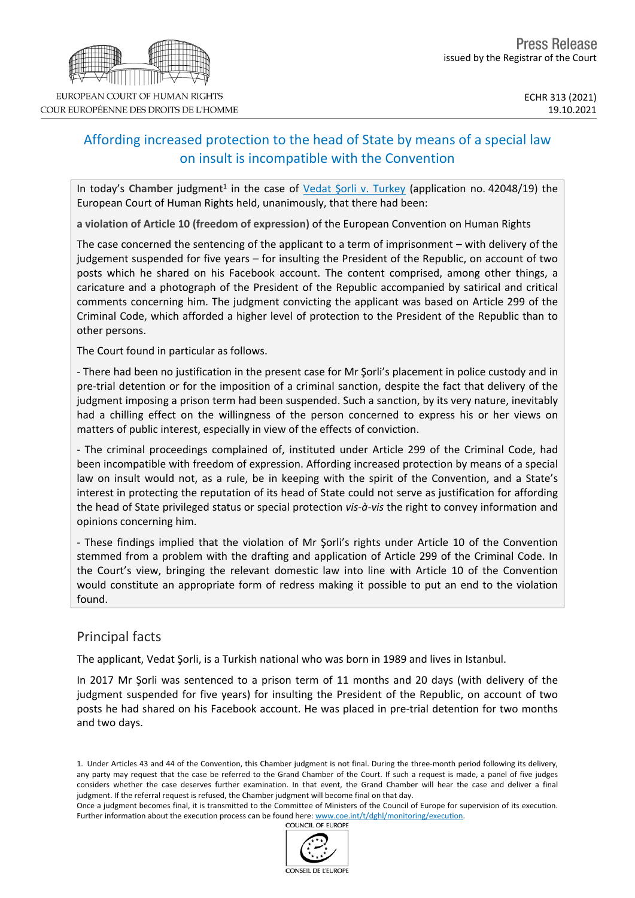# Affording increased protection to the head of State by means of a special law on insult is incompatible with the Convention

In today's Chamber judgment<sup>1</sup> in the case of Vedat Şorli v. [Turkey](http://hudoc.echr.coe.int/eng/?i=001-212394) (application no. 42048/19) the European Court of Human Rights held, unanimously, that there had been:

**a violation of Article 10 (freedom of expression)** of the European Convention on Human Rights

The case concerned the sentencing of the applicant to a term of imprisonment – with delivery of the judgement suspended for five years – for insulting the President of the Republic, on account of two posts which he shared on his Facebook account. The content comprised, among other things, a caricature and a photograph of the President of the Republic accompanied by satirical and critical comments concerning him. The judgment convicting the applicant was based on Article 299 of the Criminal Code, which afforded a higher level of protection to the President of the Republic than to other persons.

The Court found in particular as follows.

- There had been no justification in the present case for Mr Şorli's placement in police custody and in pre-trial detention or for the imposition of a criminal sanction, despite the fact that delivery of the judgment imposing a prison term had been suspended. Such a sanction, by its very nature, inevitably had a chilling effect on the willingness of the person concerned to express his or her views on matters of public interest, especially in view of the effects of conviction.

- The criminal proceedings complained of, instituted under Article 299 of the Criminal Code, had been incompatible with freedom of expression. Affording increased protection by means of a special law on insult would not, as a rule, be in keeping with the spirit of the Convention, and a State's interest in protecting the reputation of its head of State could not serve as justification for affording the head of State privileged status or special protection *vis-à-vis* the right to convey information and opinions concerning him.

- These findings implied that the violation of Mr Şorli's rights under Article 10 of the Convention stemmed from a problem with the drafting and application of Article 299 of the Criminal Code. In the Court's view, bringing the relevant domestic law into line with Article 10 of the Convention would constitute an appropriate form of redress making it possible to put an end to the violation found.

# Principal facts

The applicant, Vedat Şorli, is a Turkish national who was born in 1989 and lives in Istanbul.

In 2017 Mr Şorli was sentenced to a prison term of 11 months and 20 days (with delivery of the judgment suspended for five years) for insulting the President of the Republic, on account of two posts he had shared on his Facebook account. He was placed in pre-trial detention for two months and two days.

1. Under Articles 43 and 44 of the Convention, this Chamber judgment is not final. During the three-month period following its delivery, any party may request that the case be referred to the Grand Chamber of the Court. If such a request is made, a panel of five judges considers whether the case deserves further examination. In that event, the Grand Chamber will hear the case and deliver a final judgment. If the referral request is refused, the Chamber judgment will become final on that day.

Once a judgment becomes final, it is transmitted to the Committee of Ministers of the Council of Europe for supervision of its execution. Further information about the execution process can be found here: [www.coe.int/t/dghl/monitoring/execution](http://www.coe.int/t/dghl/monitoring/execution). **COUNCIL OF EUROPE** 



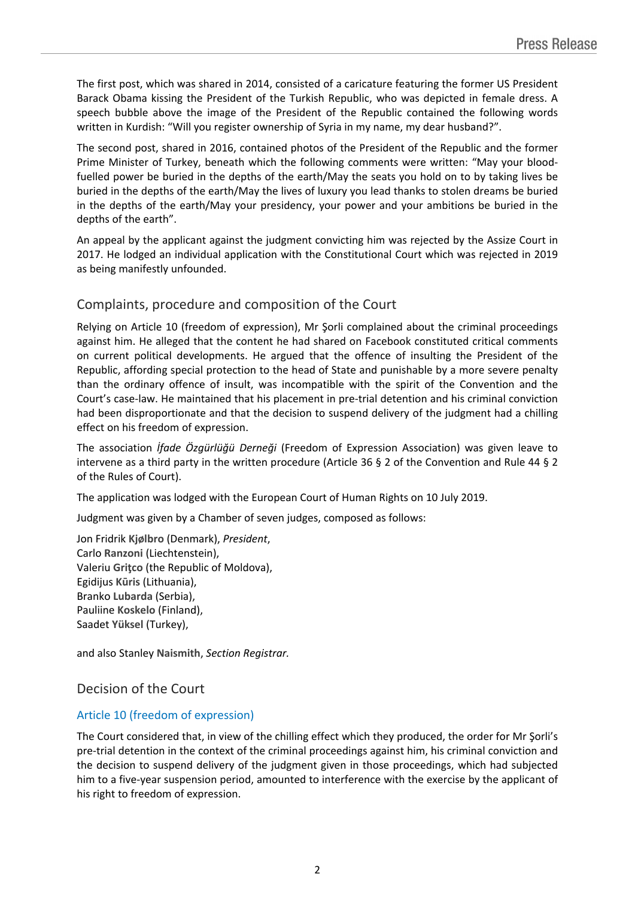The first post, which was shared in 2014, consisted of a caricature featuring the former US President Barack Obama kissing the President of the Turkish Republic, who was depicted in female dress. A speech bubble above the image of the President of the Republic contained the following words written in Kurdish: "Will you register ownership of Syria in my name, my dear husband?".

The second post, shared in 2016, contained photos of the President of the Republic and the former Prime Minister of Turkey, beneath which the following comments were written: "May your bloodfuelled power be buried in the depths of the earth/May the seats you hold on to by taking lives be buried in the depths of the earth/May the lives of luxury you lead thanks to stolen dreams be buried in the depths of the earth/May your presidency, your power and your ambitions be buried in the depths of the earth".

An appeal by the applicant against the judgment convicting him was rejected by the Assize Court in 2017. He lodged an individual application with the Constitutional Court which was rejected in 2019 as being manifestly unfounded.

# Complaints, procedure and composition of the Court

Relying on Article 10 (freedom of expression), Mr Şorli complained about the criminal proceedings against him. He alleged that the content he had shared on Facebook constituted critical comments on current political developments. He argued that the offence of insulting the President of the Republic, affording special protection to the head of State and punishable by a more severe penalty than the ordinary offence of insult, was incompatible with the spirit of the Convention and the Court's case-law. He maintained that his placement in pre-trial detention and his criminal conviction had been disproportionate and that the decision to suspend delivery of the judgment had a chilling effect on his freedom of expression.

The association *İfade Özgürlüğü Derneği* (Freedom of Expression Association) was given leave to intervene as a third party in the written procedure (Article 36 § 2 of the Convention and Rule 44 § 2 of the Rules of Court).

The application was lodged with the European Court of Human Rights on 10 July 2019.

Judgment was given by a Chamber of seven judges, composed as follows:

Jon Fridrik **Kjølbro** (Denmark), *President*, Carlo **Ranzoni** (Liechtenstein), Valeriu **Griţco** (the Republic of Moldova), Egidijus **Kūris** (Lithuania), Branko **Lubarda** (Serbia), Pauliine **Koskelo** (Finland), Saadet **Yüksel** (Turkey),

and also Stanley **Naismith**, *Section Registrar.*

### Decision of the Court

### Article 10 (freedom of expression)

The Court considered that, in view of the chilling effect which they produced, the order for Mr Şorli's pre-trial detention in the context of the criminal proceedings against him, his criminal conviction and the decision to suspend delivery of the judgment given in those proceedings, which had subjected him to a five-year suspension period, amounted to interference with the exercise by the applicant of his right to freedom of expression.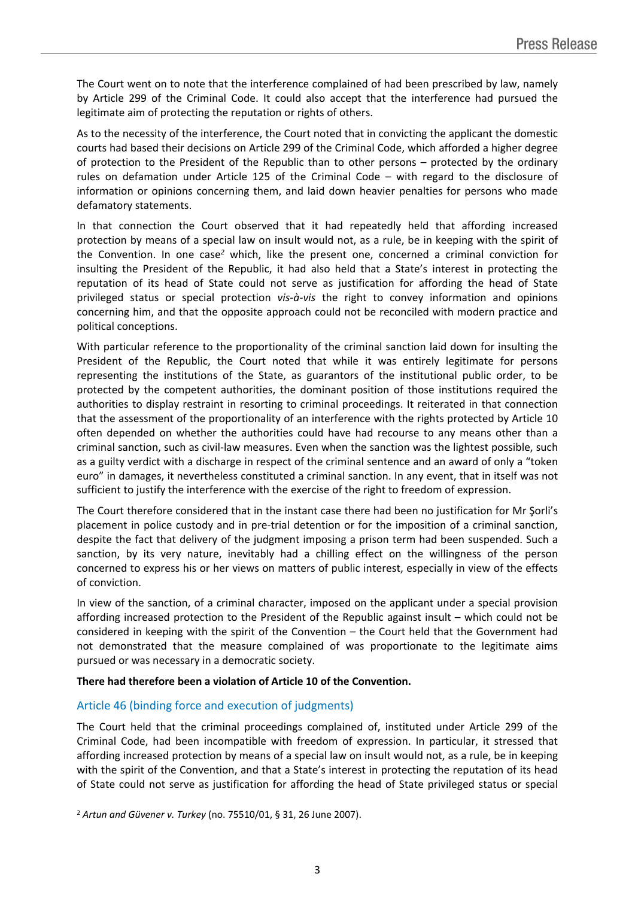The Court went on to note that the interference complained of had been prescribed by law, namely by Article 299 of the Criminal Code. It could also accept that the interference had pursued the legitimate aim of protecting the reputation or rights of others.

As to the necessity of the interference, the Court noted that in convicting the applicant the domestic courts had based their decisions on Article 299 of the Criminal Code, which afforded a higher degree of protection to the President of the Republic than to other persons – protected by the ordinary rules on defamation under Article 125 of the Criminal Code – with regard to the disclosure of information or opinions concerning them, and laid down heavier penalties for persons who made defamatory statements.

In that connection the Court observed that it had repeatedly held that affording increased protection by means of a special law on insult would not, as a rule, be in keeping with the spirit of the Convention. In one case*<sup>2</sup>* which, like the present one, concerned a criminal conviction for insulting the President of the Republic, it had also held that a State's interest in protecting the reputation of its head of State could not serve as justification for affording the head of State privileged status or special protection *vis-à-vis* the right to convey information and opinions concerning him, and that the opposite approach could not be reconciled with modern practice and political conceptions.

With particular reference to the proportionality of the criminal sanction laid down for insulting the President of the Republic, the Court noted that while it was entirely legitimate for persons representing the institutions of the State, as guarantors of the institutional public order, to be protected by the competent authorities, the dominant position of those institutions required the authorities to display restraint in resorting to criminal proceedings. It reiterated in that connection that the assessment of the proportionality of an interference with the rights protected by Article 10 often depended on whether the authorities could have had recourse to any means other than a criminal sanction, such as civil-law measures. Even when the sanction was the lightest possible, such as a guilty verdict with a discharge in respect of the criminal sentence and an award of only a "token euro" in damages, it nevertheless constituted a criminal sanction. In any event, that in itself was not sufficient to justify the interference with the exercise of the right to freedom of expression.

The Court therefore considered that in the instant case there had been no justification for Mr Şorli's placement in police custody and in pre-trial detention or for the imposition of a criminal sanction, despite the fact that delivery of the judgment imposing a prison term had been suspended. Such a sanction, by its very nature, inevitably had a chilling effect on the willingness of the person concerned to express his or her views on matters of public interest, especially in view of the effects of conviction.

In view of the sanction, of a criminal character, imposed on the applicant under a special provision affording increased protection to the President of the Republic against insult – which could not be considered in keeping with the spirit of the Convention – the Court held that the Government had not demonstrated that the measure complained of was proportionate to the legitimate aims pursued or was necessary in a democratic society.

#### **There had therefore been a violation of Article 10 of the Convention.**

#### Article 46 (binding force and execution of judgments)

The Court held that the criminal proceedings complained of, instituted under Article 299 of the Criminal Code, had been incompatible with freedom of expression. In particular, it stressed that affording increased protection by means of a special law on insult would not, as a rule, be in keeping with the spirit of the Convention, and that a State's interest in protecting the reputation of its head of State could not serve as justification for affording the head of State privileged status or special

<sup>2</sup> *Artun and Güvener v. Turkey* (no. 75510/01, § 31, 26 June 2007).